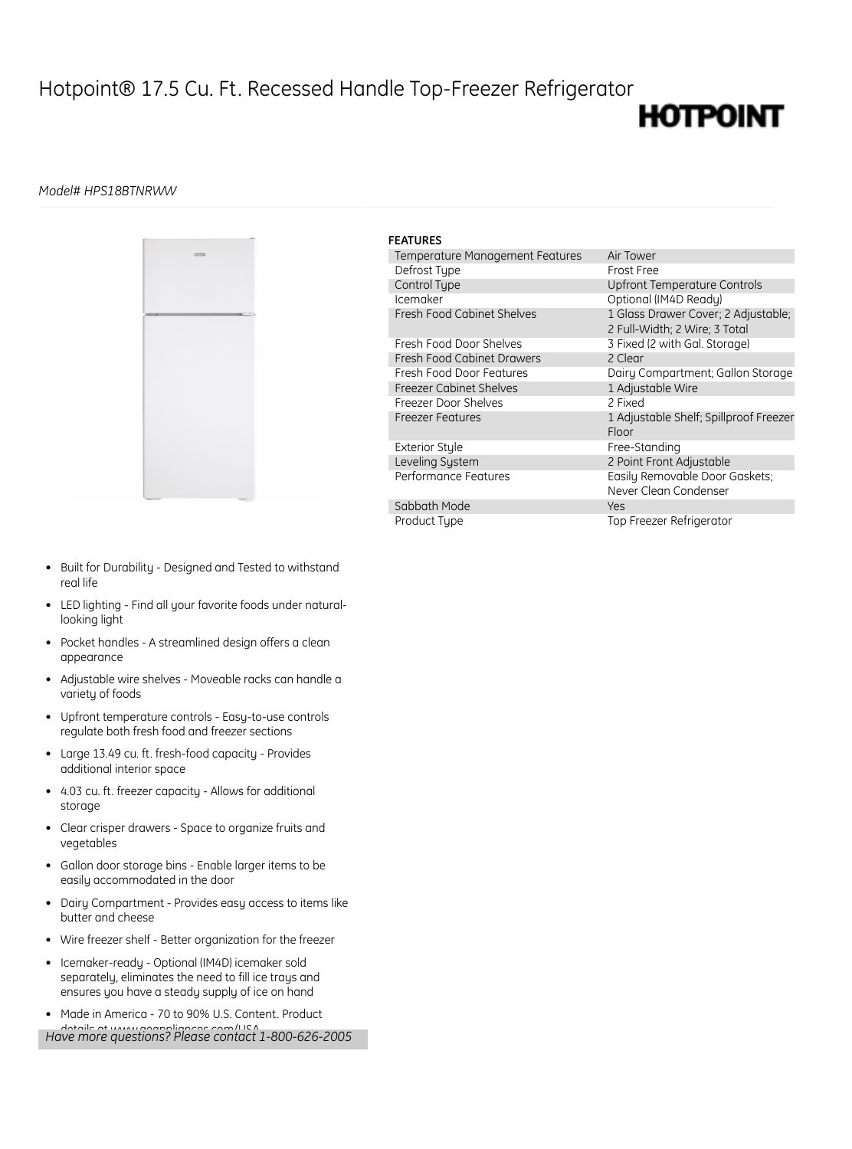## Hotpoint® 17.5 Cu. Ft. Recessed Handle Top-Freezer Refrigerator

## **HOTPOINT**

## *Model# HPS18BTNRWW*



| <b>FEATURES</b>                   |                                                                      |
|-----------------------------------|----------------------------------------------------------------------|
| Temperature Management Features   | Air Tower                                                            |
| Defrost Type                      | Frost Free                                                           |
| Control Type                      | Upfront Temperature Controls                                         |
| Icemaker                          | Optional (IM4D Ready)                                                |
| <b>Fresh Food Cabinet Shelves</b> | 1 Glass Drawer Cover; 2 Adjustable;<br>2 Full-Width: 2 Wire: 3 Total |
| Fresh Food Door Shelves           | 3 Fixed (2 with Gal. Storage)                                        |
| Fresh Food Cabinet Drawers        | 2 Clear                                                              |
| Fresh Food Door Features          | Dairy Compartment; Gallon Storage                                    |
| <b>Freezer Cabinet Shelves</b>    | 1 Adjustable Wire                                                    |
| Freezer Door Shelves              | 2 Fixed                                                              |
| <b>Freezer Features</b>           | 1 Adjustable Shelf; Spillproof Freezer<br>Floor                      |
| <b>Exterior Style</b>             | Free-Standing                                                        |
| Leveling System                   | 2 Point Front Adjustable                                             |
| Performance Features              | Easily Removable Door Gaskets;<br>Never Clean Condenser              |
| Sabbath Mode                      | Yes                                                                  |
| Product Type                      | Top Freezer Refrigerator                                             |

- Built for Durability Designed and Tested to withstand real life
- LED lighting Find all your favorite foods under naturallooking light
- Pocket handles A streamlined design offers a clean appearance
- Adjustable wire shelves Moveable racks can handle a variety of foods
- Upfront temperature controls Easy-to-use controls regulate both fresh food and freezer sections
- Large 13.49 cu. ft. fresh-food capacity Provides additional interior space
- 4.03 cu. ft. freezer capacity Allows for additional storage
- Clear crisper drawers Space to organize fruits and vegetables
- Gallon door storage bins Enable larger items to be easily accommodated in the door
- Dairy Compartment Provides easy access to items like butter and cheese
- Wire freezer shelf Better organization for the freezer
- Icemaker-ready Optional (IM4D) icemaker sold separately, eliminates the need to fill ice trays and ensures you have a steady supply of ice on hand
- Made in America 70 to 90% U.S. Content. Product details at www.geappliances.com/USA *Have more questions? Please contact 1-800-626-2005*